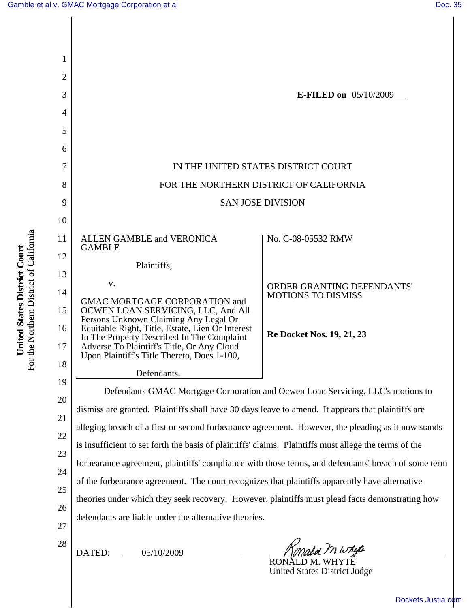| 1              |                                                                                                       |                                     |
|----------------|-------------------------------------------------------------------------------------------------------|-------------------------------------|
| $\overline{2}$ |                                                                                                       |                                     |
| 3              |                                                                                                       | <b>E-FILED on</b> 05/10/2009        |
| 4              |                                                                                                       |                                     |
| 5              |                                                                                                       |                                     |
| 6              |                                                                                                       |                                     |
| 7              | IN THE UNITED STATES DISTRICT COURT                                                                   |                                     |
| 8              | FOR THE NORTHERN DISTRICT OF CALIFORNIA                                                               |                                     |
| 9              | <b>SAN JOSE DIVISION</b>                                                                              |                                     |
| 10             |                                                                                                       |                                     |
| 11             | ALLEN GAMBLE and VERONICA<br><b>GAMBLE</b>                                                            | No. C-08-05532 RMW                  |
| 12             | Plaintiffs,                                                                                           |                                     |
| 13             | V.                                                                                                    | ORDER GRANTING DEFENDANTS'          |
| 14             | <b>GMAC MORTGAGE CORPORATION and</b>                                                                  | <b>MOTIONS TO DISMISS</b>           |
| 15             | OCWEN LOAN SERVICING, LLC, And All<br>Persons Unknown Claiming Any Legal Or                           |                                     |
| 16             | Equitable Right, Title, Estate, Lien Or Interest<br>In The Property Described In The Complaint        | <b>Re Docket Nos. 19, 21, 23</b>    |
| 17             | Adverse To Plaintiff's Title, Or Any Cloud<br>Upon Plaintiff's Title Thereto, Does 1-100,             |                                     |
| 18             | Defendants.                                                                                           |                                     |
| 19             | Defendants GMAC Mortgage Corporation and Ocwen Loan Servicing, LLC's motions to                       |                                     |
| 20             | dismiss are granted. Plaintiffs shall have 30 days leave to amend. It appears that plaintiffs are     |                                     |
| 21<br>22       | alleging breach of a first or second forbearance agreement. However, the pleading as it now stands    |                                     |
| 23             | is insufficient to set forth the basis of plaintiffs' claims. Plaintiffs must allege the terms of the |                                     |
| 24             | forbearance agreement, plaintiffs' compliance with those terms, and defendants' breach of some term   |                                     |
| 25             | of the forbearance agreement. The court recognizes that plaintiffs apparently have alternative        |                                     |
| 26             | theories under which they seek recovery. However, plaintiffs must plead facts demonstrating how       |                                     |
| 27             | defendants are liable under the alternative theories.                                                 |                                     |
| 28             |                                                                                                       |                                     |
|                | DATED:<br>05/10/2009                                                                                  | sold M Whyte<br>RONALD M. WHYTE     |
|                |                                                                                                       | <b>United States District Judge</b> |

**United States District Court**<br>For the Northern District of California For the Northern District of California **United States District Court**